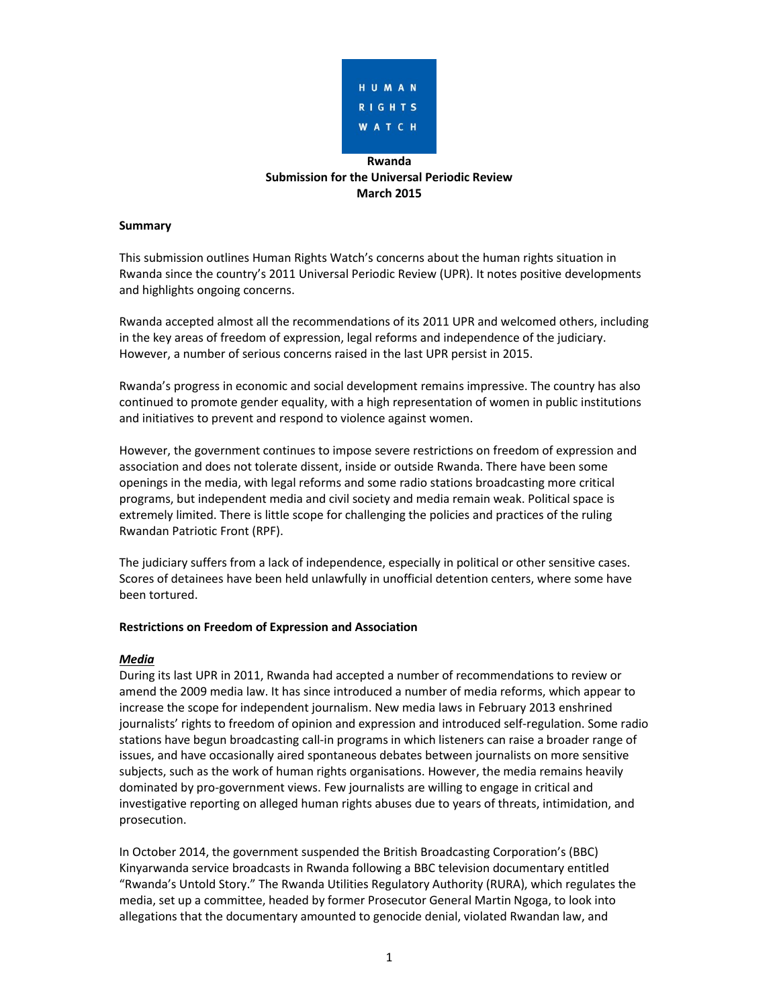

# **Rwanda Submission for the Universal Periodic Review March 2015**

### **Summary**

This submission outlines Human Rights Watch's concerns about the human rights situation in Rwanda since the country's 2011 Universal Periodic Review (UPR). It notes positive developments and highlights ongoing concerns.

Rwanda accepted almost all the recommendations of its 2011 UPR and welcomed others, including in the key areas of freedom of expression, legal reforms and independence of the judiciary. However, a number of serious concerns raised in the last UPR persist in 2015.

Rwanda's progress in economic and social development remains impressive. The country has also continued to promote gender equality, with a high representation of women in public institutions and initiatives to prevent and respond to violence against women.

However, the government continues to impose severe restrictions on freedom of expression and association and does not tolerate dissent, inside or outside Rwanda. There have been some openings in the media, with legal reforms and some radio stations broadcasting more critical programs, but independent media and civil society and media remain weak. Political space is extremely limited. There is little scope for challenging the policies and practices of the ruling Rwandan Patriotic Front (RPF).

The judiciary suffers from a lack of independence, especially in political or other sensitive cases. Scores of detainees have been held unlawfully in unofficial detention centers, where some have been tortured.

## **Restrictions on Freedom of Expression and Association**

## *Media*

During its last UPR in 2011, Rwanda had accepted a number of recommendations to review or amend the 2009 media law. It has since introduced a number of media reforms, which appear to increase the scope for independent journalism. New media laws in February 2013 enshrined journalists' rights to freedom of opinion and expression and introduced self-regulation. Some radio stations have begun broadcasting call-in programs in which listeners can raise a broader range of issues, and have occasionally aired spontaneous debates between journalists on more sensitive subjects, such as the work of human rights organisations. However, the media remains heavily dominated by pro-government views. Few journalists are willing to engage in critical and investigative reporting on alleged human rights abuses due to years of threats, intimidation, and prosecution.

In October 2014, the government suspended the British Broadcasting Corporation's (BBC) Kinyarwanda service broadcasts in Rwanda following a BBC television documentary entitled "Rwanda's Untold Story." The Rwanda Utilities Regulatory Authority (RURA), which regulates the media, set up a committee, headed by former Prosecutor General Martin Ngoga, to look into allegations that the documentary amounted to genocide denial, violated Rwandan law, and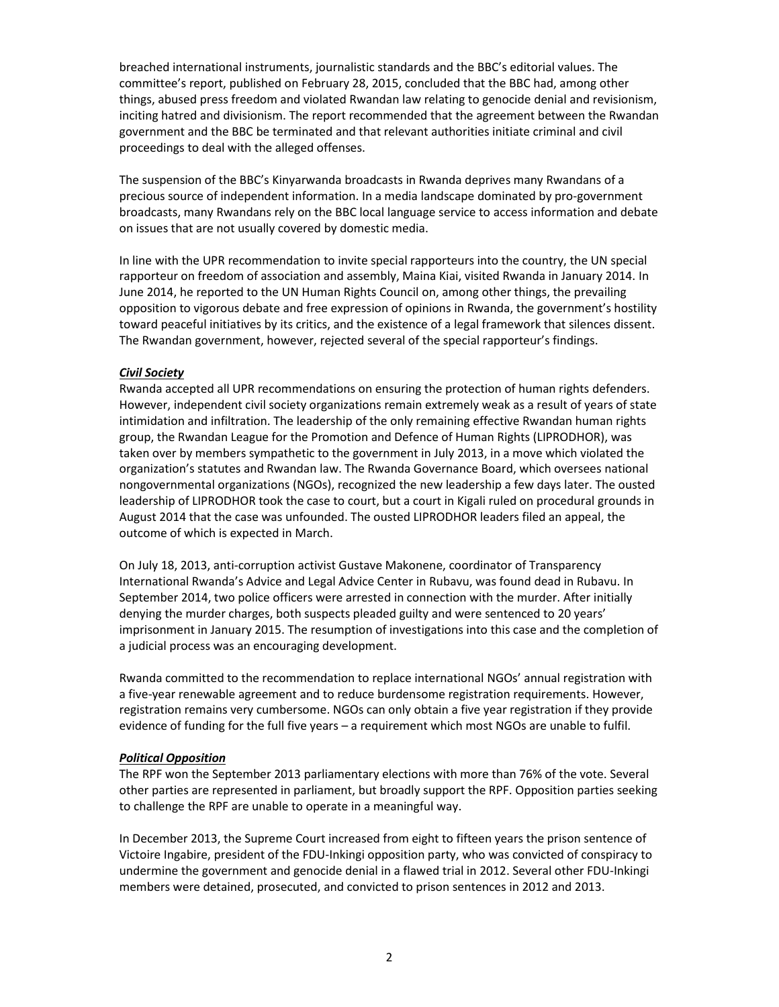breached international instruments, journalistic standards and the BBC's editorial values. The committee's report, published on February 28, 2015, concluded that the BBC had, among other things, abused press freedom and violated Rwandan law relating to genocide denial and revisionism, inciting hatred and divisionism. The report recommended that the agreement between the Rwandan government and the BBC be terminated and that relevant authorities initiate criminal and civil proceedings to deal with the alleged offenses.

The suspension of the BBC's Kinyarwanda broadcasts in Rwanda deprives many Rwandans of a precious source of independent information. In a media landscape dominated by pro-government broadcasts, many Rwandans rely on the BBC local language service to access information and debate on issues that are not usually covered by domestic media.

In line with the UPR recommendation to invite special rapporteurs into the country, the UN special rapporteur on freedom of association and assembly, Maina Kiai, visited Rwanda in January 2014. In June 2014, he reported to the UN Human Rights Council on, among other things, the prevailing opposition to vigorous debate and free expression of opinions in Rwanda, the government's hostility toward peaceful initiatives by its critics, and the existence of a legal framework that silences dissent. The Rwandan government, however, rejected several of the special rapporteur's findings.

## *Civil Society*

Rwanda accepted all UPR recommendations on ensuring the protection of human rights defenders. However, independent civil society organizations remain extremely weak as a result of years of state intimidation and infiltration. The leadership of the only remaining effective Rwandan human rights group, the Rwandan League for the Promotion and Defence of Human Rights (LIPRODHOR), was taken over by members sympathetic to the government in July 2013, in a move which violated the organization's statutes and Rwandan law. The Rwanda Governance Board, which oversees national nongovernmental organizations (NGOs), recognized the new leadership a few days later. The ousted leadership of LIPRODHOR took the case to court, but a court in Kigali ruled on procedural grounds in August 2014 that the case was unfounded. The ousted LIPRODHOR leaders filed an appeal, the outcome of which is expected in March.

On July 18, 2013, anti-corruption activist Gustave Makonene, coordinator of Transparency International Rwanda's Advice and Legal Advice Center in Rubavu, was found dead in Rubavu. In September 2014, two police officers were arrested in connection with the murder. After initially denying the murder charges, both suspects pleaded guilty and were sentenced to 20 years' imprisonment in January 2015. The resumption of investigations into this case and the completion of a judicial process was an encouraging development.

Rwanda committed to the recommendation to replace international NGOs' annual registration with a five-year renewable agreement and to reduce burdensome registration requirements. However, registration remains very cumbersome. NGOs can only obtain a five year registration if they provide evidence of funding for the full five years – a requirement which most NGOs are unable to fulfil.

#### *Political Opposition*

The RPF won the September 2013 parliamentary elections with more than 76% of the vote. Several other parties are represented in parliament, but broadly support the RPF. Opposition parties seeking to challenge the RPF are unable to operate in a meaningful way.

In December 2013, the Supreme Court increased from eight to fifteen years the prison sentence of Victoire Ingabire, president of the FDU-Inkingi opposition party, who was convicted of conspiracy to undermine the government and genocide denial in a flawed trial in 2012. Several other FDU-Inkingi members were detained, prosecuted, and convicted to prison sentences in 2012 and 2013.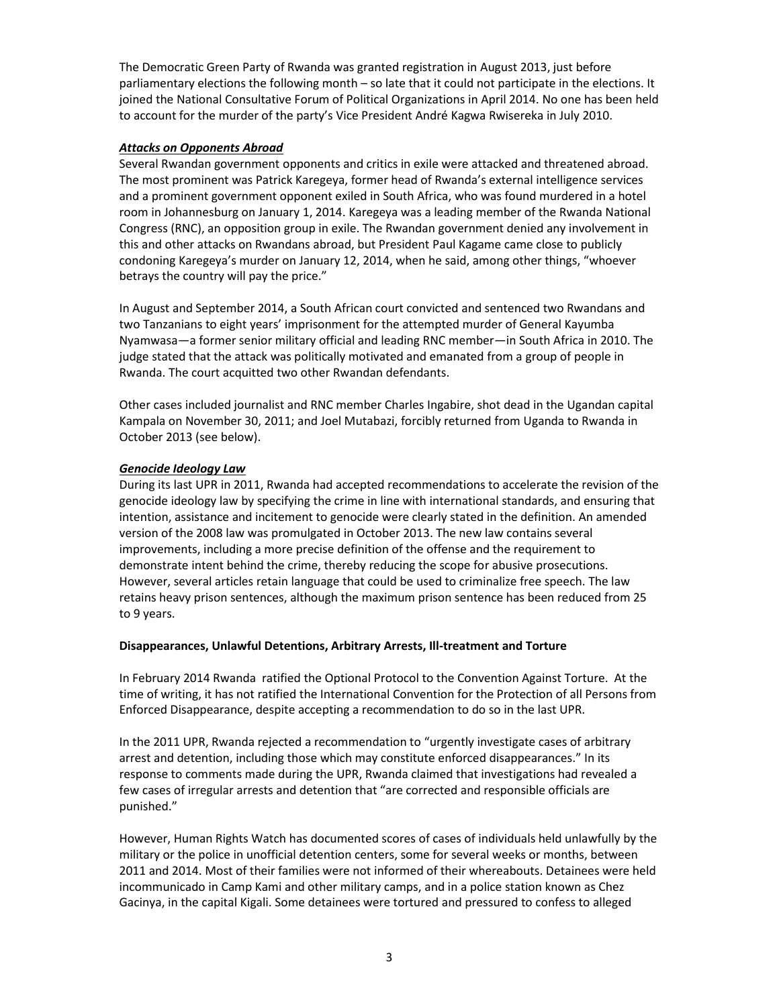The Democratic Green Party of Rwanda was granted registration in August 2013, just before parliamentary elections the following month – so late that it could not participate in the elections. It joined the National Consultative Forum of Political Organizations in April 2014. No one has been held to account for the murder of the party's Vice President André Kagwa Rwisereka in July 2010.

## *Attacks on Opponents Abroad*

Several Rwandan government opponents and critics in exile were attacked and threatened abroad. The most prominent was Patrick Karegeya, former head of Rwanda's external intelligence services and a prominent government opponent exiled in South Africa, who was found murdered in a hotel room in Johannesburg on January 1, 2014. Karegeya was a leading member of the Rwanda National Congress (RNC), an opposition group in exile. The Rwandan government denied any involvement in this and other attacks on Rwandans abroad, but President Paul Kagame came close to publicly condoning Karegeya's murder on January 12, 2014, when he said, among other things, "whoever betrays the country will pay the price."

In August and September 2014, a South African court convicted and sentenced two Rwandans and two Tanzanians to eight years' imprisonment for the attempted murder of General Kayumba Nyamwasa—a former senior military official and leading RNC member—in South Africa in 2010. The judge stated that the attack was politically motivated and emanated from a group of people in Rwanda. The court acquitted two other Rwandan defendants.

Other cases included journalist and RNC member Charles Ingabire, shot dead in the Ugandan capital Kampala on November 30, 2011; and Joel Mutabazi, forcibly returned from Uganda to Rwanda in October 2013 (see below).

# *Genocide Ideology Law*

During its last UPR in 2011, Rwanda had accepted recommendations to accelerate the revision of the genocide ideology law by specifying the crime in line with international standards, and ensuring that intention, assistance and incitement to genocide were clearly stated in the definition. An amended version of the 2008 law was promulgated in October 2013. The new law contains several improvements, including a more precise definition of the offense and the requirement to demonstrate intent behind the crime, thereby reducing the scope for abusive prosecutions. However, several articles retain language that could be used to criminalize free speech. The law retains heavy prison sentences, although the maximum prison sentence has been reduced from 25 to 9 years.

## **Disappearances, Unlawful Detentions, Arbitrary Arrests, Ill-treatment and Torture**

In February 2014 Rwanda ratified the Optional Protocol to the Convention Against Torture. At the time of writing, it has not ratified the International Convention for the Protection of all Persons from Enforced Disappearance, despite accepting a recommendation to do so in the last UPR.

In the 2011 UPR, Rwanda rejected a recommendation to "urgently investigate cases of arbitrary arrest and detention, including those which may constitute enforced disappearances." In its response to comments made during the UPR, Rwanda claimed that investigations had revealed a few cases of irregular arrests and detention that "are corrected and responsible officials are punished."

However, Human Rights Watch has documented scores of cases of individuals held unlawfully by the military or the police in unofficial detention centers, some for several weeks or months, between 2011 and 2014. Most of their families were not informed of their whereabouts. Detainees were held incommunicado in Camp Kami and other military camps, and in a police station known as Chez Gacinya, in the capital Kigali. Some detainees were tortured and pressured to confess to alleged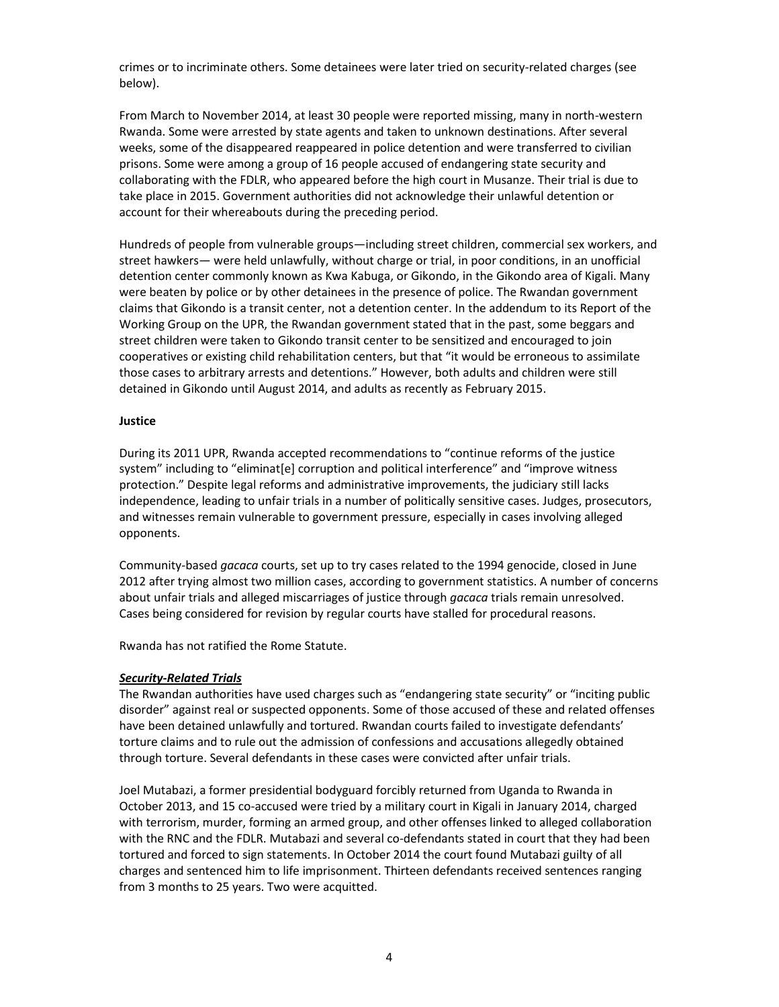crimes or to incriminate others. Some detainees were later tried on security-related charges (see below).

From March to November 2014, at least 30 people were reported missing, many in north-western Rwanda. Some were arrested by state agents and taken to unknown destinations. After several weeks, some of the disappeared reappeared in police detention and were transferred to civilian prisons. Some were among a group of 16 people accused of endangering state security and collaborating with the FDLR, who appeared before the high court in Musanze. Their trial is due to take place in 2015. Government authorities did not acknowledge their unlawful detention or account for their whereabouts during the preceding period.

Hundreds of people from vulnerable groups—including street children, commercial sex workers, and street hawkers— were held unlawfully, without charge or trial, in poor conditions, in an unofficial detention center commonly known as Kwa Kabuga, or Gikondo, in the Gikondo area of Kigali. Many were beaten by police or by other detainees in the presence of police. The Rwandan government claims that Gikondo is a transit center, not a detention center. In the addendum to its Report of the Working Group on the UPR, the Rwandan government stated that in the past, some beggars and street children were taken to Gikondo transit center to be sensitized and encouraged to join cooperatives or existing child rehabilitation centers, but that "it would be erroneous to assimilate those cases to arbitrary arrests and detentions." However, both adults and children were still detained in Gikondo until August 2014, and adults as recently as February 2015.

### **Justice**

During its 2011 UPR, Rwanda accepted recommendations to "continue reforms of the justice system" including to "eliminat[e] corruption and political interference" and "improve witness protection." Despite legal reforms and administrative improvements, the judiciary still lacks independence, leading to unfair trials in a number of politically sensitive cases. Judges, prosecutors, and witnesses remain vulnerable to government pressure, especially in cases involving alleged opponents.

Community-based *gacaca* courts, set up to try cases related to the 1994 genocide, closed in June 2012 after trying almost two million cases, according to government statistics. A number of concerns about unfair trials and alleged miscarriages of justice through *gacaca* trials remain unresolved. Cases being considered for revision by regular courts have stalled for procedural reasons.

Rwanda has not ratified the Rome Statute.

## *Security-Related Trials*

The Rwandan authorities have used charges such as "endangering state security" or "inciting public disorder" against real or suspected opponents. Some of those accused of these and related offenses have been detained unlawfully and tortured. Rwandan courts failed to investigate defendants' torture claims and to rule out the admission of confessions and accusations allegedly obtained through torture. Several defendants in these cases were convicted after unfair trials.

Joel Mutabazi, a former presidential bodyguard forcibly returned from Uganda to Rwanda in October 2013, and 15 co-accused were tried by a military court in Kigali in January 2014, charged with terrorism, murder, forming an armed group, and other offenses linked to alleged collaboration with the RNC and the FDLR. Mutabazi and several co-defendants stated in court that they had been tortured and forced to sign statements. In October 2014 the court found Mutabazi guilty of all charges and sentenced him to life imprisonment. Thirteen defendants received sentences ranging from 3 months to 25 years. Two were acquitted.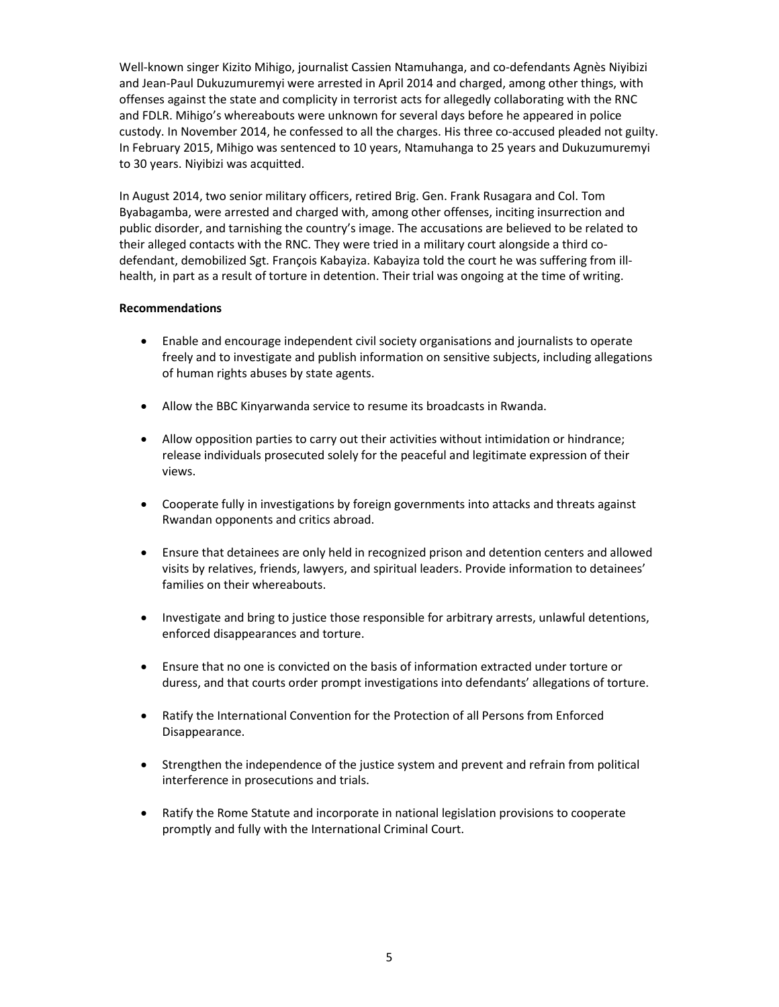Well-known singer Kizito Mihigo, journalist Cassien Ntamuhanga, and co-defendants Agnès Niyibizi and Jean-Paul Dukuzumuremyi were arrested in April 2014 and charged, among other things, with offenses against the state and complicity in terrorist acts for allegedly collaborating with the RNC and FDLR. Mihigo's whereabouts were unknown for several days before he appeared in police custody. In November 2014, he confessed to all the charges. His three co-accused pleaded not guilty. In February 2015, Mihigo was sentenced to 10 years, Ntamuhanga to 25 years and Dukuzumuremyi to 30 years. Niyibizi was acquitted.

In August 2014, two senior military officers, retired Brig. Gen. Frank Rusagara and Col. Tom Byabagamba, were arrested and charged with, among other offenses, inciting insurrection and public disorder, and tarnishing the country's image. The accusations are believed to be related to their alleged contacts with the RNC. They were tried in a military court alongside a third codefendant, demobilized Sgt. François Kabayiza. Kabayiza told the court he was suffering from illhealth, in part as a result of torture in detention. Their trial was ongoing at the time of writing.

## **Recommendations**

- Enable and encourage independent civil society organisations and journalists to operate freely and to investigate and publish information on sensitive subjects, including allegations of human rights abuses by state agents.
- Allow the BBC Kinyarwanda service to resume its broadcasts in Rwanda.
- Allow opposition parties to carry out their activities without intimidation or hindrance; release individuals prosecuted solely for the peaceful and legitimate expression of their views.
- Cooperate fully in investigations by foreign governments into attacks and threats against Rwandan opponents and critics abroad.
- Ensure that detainees are only held in recognized prison and detention centers and allowed visits by relatives, friends, lawyers, and spiritual leaders. Provide information to detainees' families on their whereabouts.
- Investigate and bring to justice those responsible for arbitrary arrests, unlawful detentions, enforced disappearances and torture.
- Ensure that no one is convicted on the basis of information extracted under torture or duress, and that courts order prompt investigations into defendants' allegations of torture.
- Ratify the International Convention for the Protection of all Persons from Enforced Disappearance.
- Strengthen the independence of the justice system and prevent and refrain from political interference in prosecutions and trials.
- Ratify the Rome Statute and incorporate in national legislation provisions to cooperate promptly and fully with the International Criminal Court.